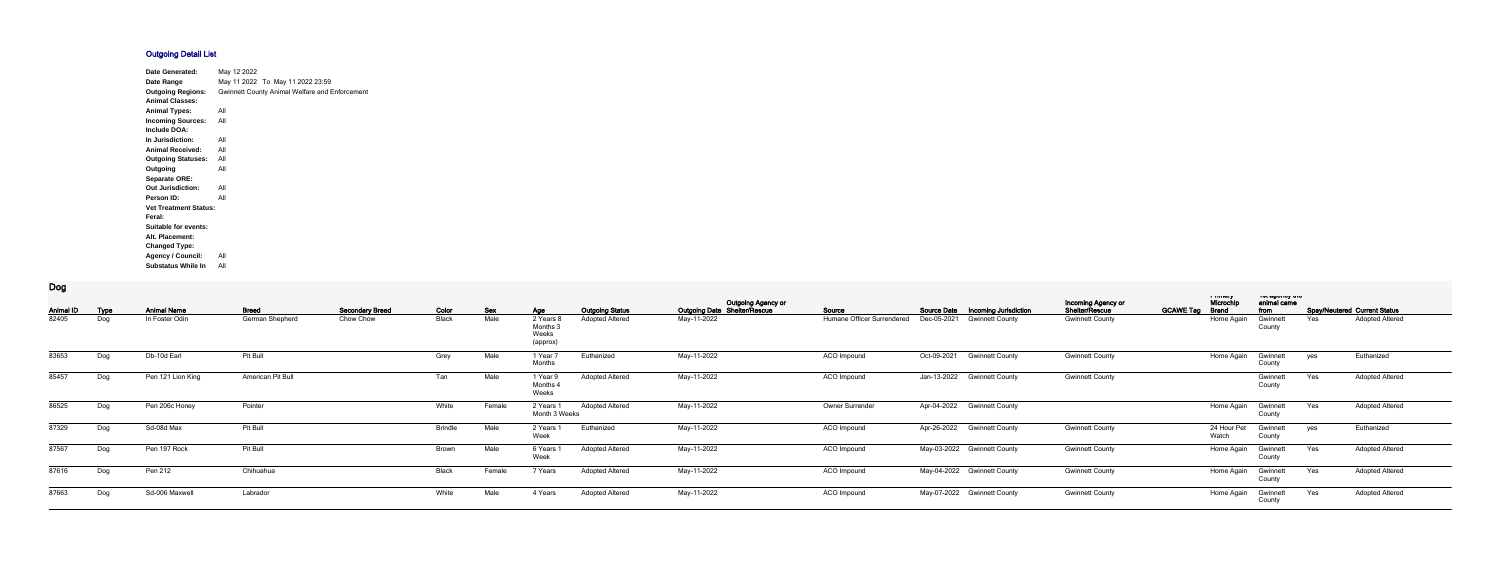## **Outgoing Detail List**

| <b>Date Generated:</b>       | May 12 2022                                    |                                  |  |  |  |  |  |  |  |  |
|------------------------------|------------------------------------------------|----------------------------------|--|--|--|--|--|--|--|--|
| Date Range                   |                                                | May 11 2022 To May 11 2022 23:59 |  |  |  |  |  |  |  |  |
| <b>Outgoing Regions:</b>     | Gwinnett County Animal Welfare and Enforcement |                                  |  |  |  |  |  |  |  |  |
| <b>Animal Classes:</b>       |                                                |                                  |  |  |  |  |  |  |  |  |
| <b>Animal Types:</b>         | All                                            |                                  |  |  |  |  |  |  |  |  |
| <b>Incoming Sources:</b>     | All                                            |                                  |  |  |  |  |  |  |  |  |
| Include DOA:                 |                                                |                                  |  |  |  |  |  |  |  |  |
| In Jurisdiction:             | All                                            |                                  |  |  |  |  |  |  |  |  |
| <b>Animal Received:</b>      | All                                            |                                  |  |  |  |  |  |  |  |  |
| <b>Outgoing Statuses:</b>    | All                                            |                                  |  |  |  |  |  |  |  |  |
| Outgoing                     | All                                            |                                  |  |  |  |  |  |  |  |  |
| <b>Separate ORE:</b>         |                                                |                                  |  |  |  |  |  |  |  |  |
| <b>Out Jurisdiction:</b>     | All                                            |                                  |  |  |  |  |  |  |  |  |
| Person ID:                   | All                                            |                                  |  |  |  |  |  |  |  |  |
| <b>Vet Treatment Status:</b> |                                                |                                  |  |  |  |  |  |  |  |  |
| Feral:                       |                                                |                                  |  |  |  |  |  |  |  |  |
| <b>Suitable for events:</b>  |                                                |                                  |  |  |  |  |  |  |  |  |
| Alt. Placement:              |                                                |                                  |  |  |  |  |  |  |  |  |
| <b>Changed Type:</b>         |                                                |                                  |  |  |  |  |  |  |  |  |
| <b>Agency / Council:</b>     | All                                            |                                  |  |  |  |  |  |  |  |  |
| <b>Substatus While In</b>    | All                                            |                                  |  |  |  |  |  |  |  |  |

## **Dog**

| <b>Animal ID</b> | <b>Type</b> | <b>Animal Name</b> | <b>Breed</b>      | <b>Secondary Breed</b> | Color          | <b>Sex</b> | Age                                     | <b>Outgoing Status</b> | <b>Outgoing Agency or</b><br>Outgoing Date Shelter/Rescue | Source                     |             | Source Date  Incoming Jurisdiction | Incoming Agency or<br>Shelter/Rescue | <b>GCAWE Tag Brand</b> | a music<br>Microchi  | not agonoy aro<br>animal came<br>from |     | <b>Spay/Neutered Current Status</b> |
|------------------|-------------|--------------------|-------------------|------------------------|----------------|------------|-----------------------------------------|------------------------|-----------------------------------------------------------|----------------------------|-------------|------------------------------------|--------------------------------------|------------------------|----------------------|---------------------------------------|-----|-------------------------------------|
| 82405            | Dog         | In Foster Odin     | German Shepherd   | Chow Chow              | Black          | Male       | 2 Years<br>Months:<br>Weeks<br>(approx) | <b>Adopted Altered</b> | May-11-2022                                               | Humane Officer Surrendered | Dec-05-2021 | <b>Gwinnett County</b>             | <b>Gwinnett County</b>               |                        | Home Again           | Gwinnet<br>County                     | Yes | <b>Adopted Altered</b>              |
| 83653            | Dog         | Db-10d Earl        | Pit Bull          |                        | Grey           | Male       | 1 Year 7<br>Months                      | Euthanized             | May-11-2022                                               | ACO Impound                | Oct-09-2021 | <b>Gwinnett County</b>             | <b>Gwinnett County</b>               |                        | Home Again           | Gwinnett<br>County                    | yes | Euthanized                          |
| 85457            | Dog         | Pen 121 Lion King  | American Pit Bull |                        | Tan            | Male       | 1 Year 9<br>Months .<br>Weeks           | <b>Adopted Altered</b> | May-11-2022                                               | ACO Impound                |             | Jan-13-2022 Gwinnett County        | <b>Gwinnett County</b>               |                        |                      | Gwinnett<br>County                    | Yes | <b>Adopted Altered</b>              |
| 86525            | Dog         | Pen 206c Honey     | Pointer           |                        | White          | Female     | 2 Years 1<br>Month 3 Weeks              | <b>Adopted Altered</b> | May-11-2022                                               | Owner Surrender            |             | Apr-04-2022 Gwinnett County        |                                      |                        | Home Again           | Gwinnett<br>County                    | Yes | <b>Adopted Altered</b>              |
| 87329            | Dog         | Sd-08d Max         | Pit Bull          |                        | <b>Brindle</b> | Male       | 2 Years<br>Week                         | Euthanized             | May-11-2022                                               | ACO Impound                |             | Apr-26-2022 Gwinnett County        | <b>Gwinnett County</b>               |                        | 24 Hour Pet<br>Watch | Gwinnett<br>County                    | yes | Euthanized                          |
| 87567            | Dog         | Pen 197 Rock       | Pit Bull          |                        | Brown          | Male       | 6 Years<br>Week                         | <b>Adopted Altered</b> | May-11-2022                                               | ACO Impound                |             | May-03-2022 Gwinnett County        | <b>Gwinnett County</b>               |                        | Home Again           | Gwinnett<br>County                    | Yes | <b>Adopted Altered</b>              |
| 87616            | Dog         | Pen 212            | Chihuahua         |                        | Black          | Female     | 7 Years                                 | <b>Adopted Altered</b> | May-11-2022                                               | ACO Impound                |             | May-04-2022 Gwinnett County        | <b>Gwinnett County</b>               |                        | Home Again           | Gwinnett<br>County                    | Yes | <b>Adopted Altered</b>              |
| 87663            | Dog         | Sd-006 Maxwell     | Labrador          |                        | White          | Male       | 4 Years                                 | <b>Adopted Altered</b> | May-11-2022                                               | ACO Impound                |             | May-07-2022 Gwinnett County        | <b>Gwinnett County</b>               |                        | Home Again           | Gwinnett<br>County                    | Yes | <b>Adopted Altered</b>              |